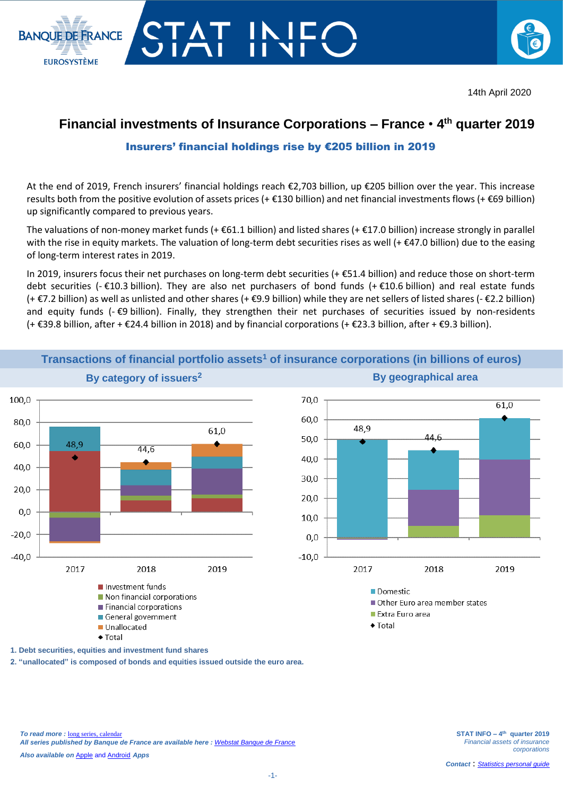

14th April 2020

## **Financial investments of Insurance Corporations – France** • **4 th quarter 2019**

## Insurers' financial holdings rise by €205 billion in 2019

At the end of 2019, French insurers' financial holdings reach €2,703 billion, up €205 billion over the year. This increase results both from the positive evolution of assets prices (+ €130 billion) and net financial investments flows (+ €69 billion) up significantly compared to previous years.

The valuations of non-money market funds (+ $\epsilon$ 61.1 billion) and listed shares (+ $\epsilon$ 17.0 billion) increase strongly in parallel with the rise in equity markets. The valuation of long-term debt securities rises as well (+ €47.0 billion) due to the easing of long-term interest rates in 2019.

In 2019, insurers focus their net purchases on long-term debt securities (+ €51.4 billion) and reduce those on short-term debt securities (- €10.3 billion). They are also net purchasers of bond funds (+ €10.6 billion) and real estate funds (+ €7.2 billion) as well as unlisted and other shares (+ €9.9 billion) while they are net sellers of listed shares (- €2.2 billion) and equity funds (- €9 billion). Finally, they strengthen their net purchases of securities issued by non-residents (+ €39.8 billion, after + €24.4 billion in 2018) and by financial corporations (+ €23.3 billion, after + €9.3 billion).



**Transactions of financial portfolio assets<sup>1</sup> of insurance corporations (in billions of euros) By category of issuers<sup>2</sup> By geographical area**

**1. Debt securities, equities and investment fund shares**

**2. "unallocated" is composed of bonds and equities issued outside the euro area.**

**BANOUE DE ERANCE** 

**EUROSYSTÈME**